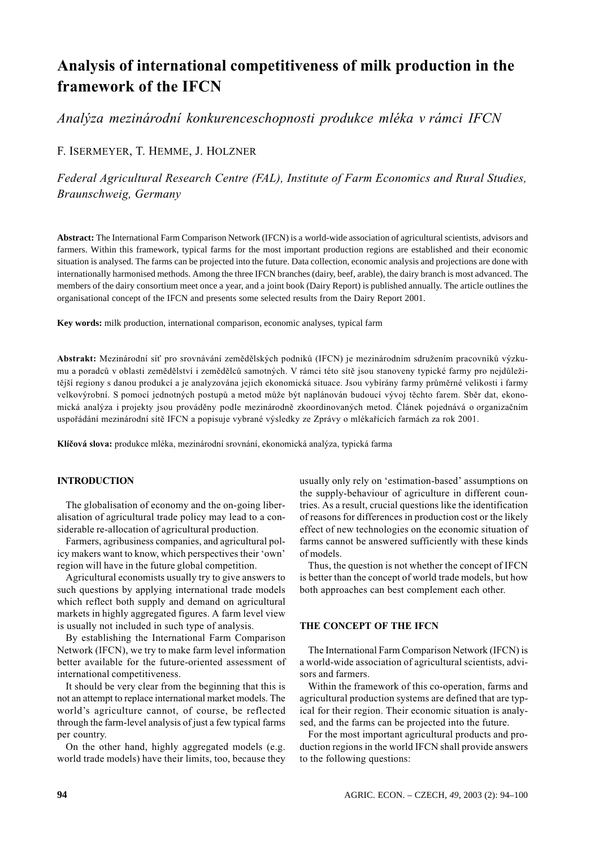# Analysis of international competitiveness of milk production in the framework of the IFCN

Analýza mezinárodní konkurenceschopnosti produkce mléka v rámci IFCN

F. ISERMEYER, T. HEMME, J. HOLZNER

Federal Agricultural Research Centre (FAL), Institute of Farm Economics and Rural Studies, Braunschweig, Germany

**Abstract:** The International Farm Comparison Network (IFCN) is a world-wide association of agricultural scientists, advisors and farmers. Within this framework, typical farms for the most important production regions are established and their economic situation is analysed. The farms can be projected into the future. Data collection, economic analysis and projections are done with internationally harmonised methods. Among the three IFCN branches (dairy, beef, arable), the dairy branch is most advanced. The members of the dairy consortium meet once a year, and a joint book (Dairy Report) is published annually. The article outlines the organisational concept of the IFCN and presents some selected results from the Dairy Report 2001.

**Key words:** milk production, international comparison, economic analyses, typical farm

Abstrakt: Mezinárodní síť pro srovnávání zemědělských podniků (IFCN) je mezinárodním sdružením pracovníků výzkumu a poradců v oblasti zemědělství i zemědělců samotných. V rámci této sítě jsou stanoveny typické farmy pro nejdůležitější regiony s danou produkcí a je analyzována jejich ekonomická situace. Jsou vybírány farmy průměrné velikosti i farmy velkovýrobní. S pomocí jednotných postupů a metod může být naplánován budoucí vývoj těchto farem. Sběr dat, ekonomická analýza i projekty jsou prováděny podle mezinárodně zkoordinovaných metod. Článek pojednává o organizačním uspořádání mezinárodní sítě IFCN a popisuje vybrané výsledky ze Zprávy o mlékařících farmách za rok 2001.

Klíčová slova: produkce mléka, mezinárodní srovnání, ekonomická analýza, typická farma

#### **INTRODUCTION**

The globalisation of economy and the on-going liberalisation of agricultural trade policy may lead to a considerable re-allocation of agricultural production.

Farmers, agribusiness companies, and agricultural policy makers want to know, which perspectives their 'own' region will have in the future global competition.

Agricultural economists usually try to give answers to such questions by applying international trade models which reflect both supply and demand on agricultural markets in highly aggregated figures. A farm level view is usually not included in such type of analysis.

By establishing the International Farm Comparison Network (IFCN), we try to make farm level information better available for the future-oriented assessment of international competitiveness.

It should be very clear from the beginning that this is not an attempt to replace international market models. The world's agriculture cannot, of course, be reflected through the farm-level analysis of just a few typical farms ner country.

On the other hand, highly aggregated models (e.g. world trade models) have their limits, too, because they

usually only rely on 'estimation-based' assumptions on the supply-behaviour of agriculture in different countries. As a result, crucial questions like the identification of reasons for differences in production cost or the likely effect of new technologies on the economic situation of farms cannot be answered sufficiently with these kinds of models.

Thus, the question is not whether the concept of IFCN is better than the concept of world trade models, but how both approaches can best complement each other.

## THE CONCEPT OF THE IFCN

The International Farm Comparison Network (IFCN) is a world-wide association of agricultural scientists, advisors and farmers.

Within the framework of this co-operation, farms and agricultural production systems are defined that are typical for their region. Their economic situation is analysed, and the farms can be projected into the future.

For the most important agricultural products and production regions in the world IFCN shall provide answers to the following questions: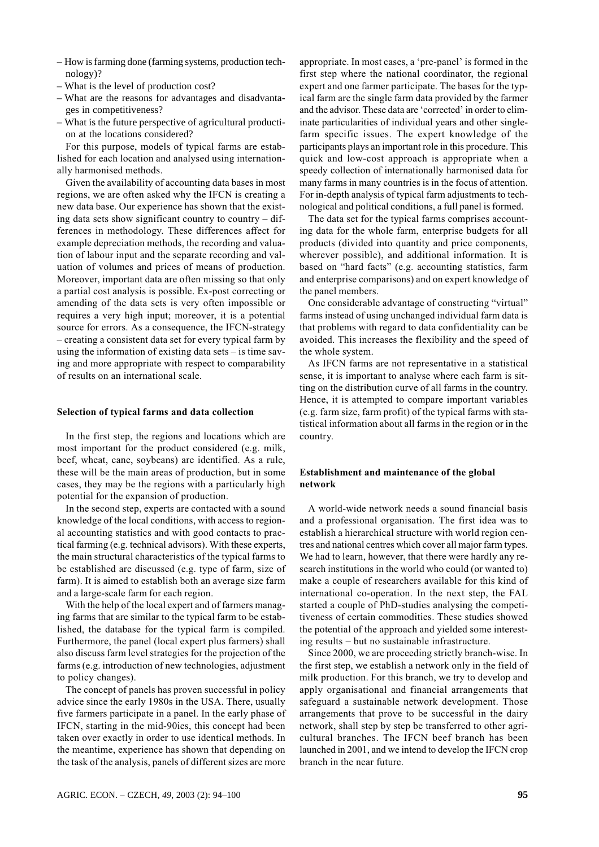- How is farming done (farming systems, production technology)?
- What is the level of production cost?
- What are the reasons for advantages and disadvantages in competitiveness?
- What is the future perspective of agricultural production at the locations considered?

For this purpose, models of typical farms are established for each location and analysed using internationally harmonised methods.

Given the availability of accounting data bases in most regions, we are often asked why the IFCN is creating a new data base. Our experience has shown that the existing data sets show significant country to country  $-$  differences in methodology. These differences affect for example depreciation methods, the recording and valuation of labour input and the separate recording and valuation of volumes and prices of means of production. Moreover, important data are often missing so that only a partial cost analysis is possible. Ex-post correcting or amending of the data sets is very often impossible or requires a very high input; moreover, it is a potential source for errors. As a consequence, the IFCN-strategy - creating a consistent data set for every typical farm by using the information of existing data sets  $-$  is time saying and more appropriate with respect to comparability of results on an international scale.

# Selection of typical farms and data collection

In the first step, the regions and locations which are most important for the product considered (e.g. milk, beef, wheat, cane, soybeans) are identified. As a rule, these will be the main areas of production, but in some cases, they may be the regions with a particularly high potential for the expansion of production.

In the second step, experts are contacted with a sound knowledge of the local conditions, with access to regional accounting statistics and with good contacts to practical farming (e.g. technical advisors). With these experts, the main structural characteristics of the typical farms to be established are discussed (e.g. type of farm, size of farm). It is aimed to establish both an average size farm and a large-scale farm for each region.

With the help of the local expert and of farmers managing farms that are similar to the typical farm to be established, the database for the typical farm is compiled. Furthermore, the panel (local expert plus farmers) shall also discuss farm level strategies for the projection of the farms (e.g. introduction of new technologies, adjustment to policy changes).

The concept of panels has proven successful in policy advice since the early 1980s in the USA. There, usually five farmers participate in a panel. In the early phase of IFCN, starting in the mid-90ies, this concept had been taken over exactly in order to use identical methods. In the meantime, experience has shown that depending on the task of the analysis, panels of different sizes are more

appropriate. In most cases, a 'pre-panel' is formed in the first step where the national coordinator, the regional expert and one farmer participate. The bases for the typical farm are the single farm data provided by the farmer and the advisor. These data are 'corrected' in order to eliminate particularities of individual years and other singlefarm specific issues. The expert knowledge of the participants plays an important role in this procedure. This quick and low-cost approach is appropriate when a speedy collection of internationally harmonised data for many farms in many countries is in the focus of attention. For in-depth analysis of typical farm adjustments to technological and political conditions, a full panel is formed.

The data set for the typical farms comprises accounting data for the whole farm, enterprise budgets for all products (divided into quantity and price components, wherever possible), and additional information. It is based on "hard facts" (e.g. accounting statistics, farm and enterprise comparisons) and on expert knowledge of the panel members.

One considerable advantage of constructing "virtual" farms instead of using unchanged individual farm data is that problems with regard to data confidentiality can be avoided. This increases the flexibility and the speed of the whole system.

As IFCN farms are not representative in a statistical sense, it is important to analyse where each farm is sitting on the distribution curve of all farms in the country. Hence, it is attempted to compare important variables (e.g. farm size, farm profit) of the typical farms with statistical information about all farms in the region or in the country.

# Establishment and maintenance of the global network

A world-wide network needs a sound financial basis and a professional organisation. The first idea was to establish a hierarchical structure with world region centres and national centres which cover all major farm types. We had to learn, however, that there were hardly any research institutions in the world who could (or wanted to) make a couple of researchers available for this kind of international co-operation. In the next step, the FAL started a couple of PhD-studies analysing the competitiveness of certain commodities. These studies showed the potential of the approach and yielded some interesting results – but no sustainable infrastructure.

Since 2000, we are proceeding strictly branch-wise. In the first step, we establish a network only in the field of milk production. For this branch, we try to develop and apply organisational and financial arrangements that safeguard a sustainable network development. Those arrangements that prove to be successful in the dairy network, shall step by step be transferred to other agricultural branches. The IFCN beef branch has been launched in 2001, and we intend to develop the IFCN crop branch in the near future.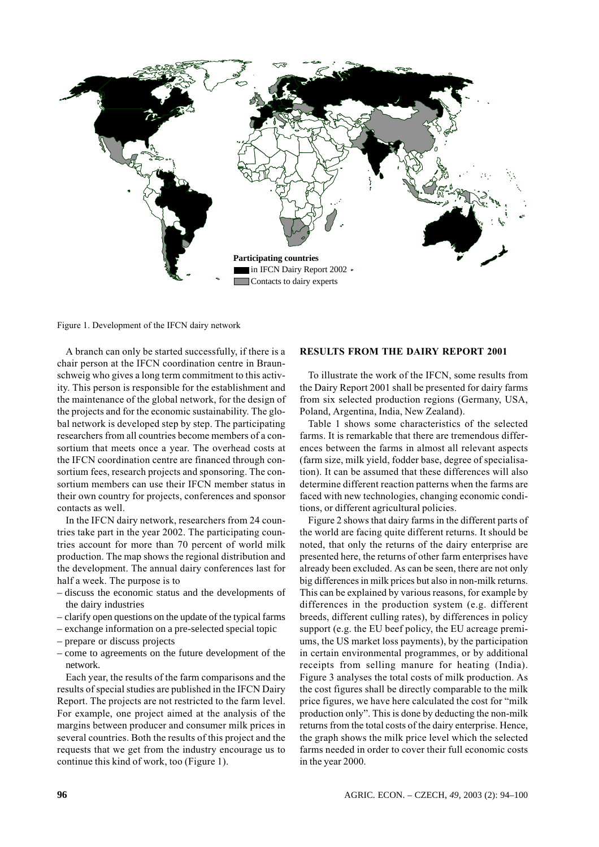

Figure 1. Development of the IFCN dairy network

A branch can only be started successfully, if there is a chair person at the IFCN coordination centre in Braunschweig who gives a long term commitment to this activity. This person is responsible for the establishment and the maintenance of the global network, for the design of the projects and for the economic sustainability. The global network is developed step by step. The participating researchers from all countries become members of a consortium that meets once a year. The overhead costs at the IFCN coordination centre are financed through consortium fees, research projects and sponsoring. The consortium members can use their IFCN member status in their own country for projects, conferences and sponsor contacts as well.

In the IFCN dairy network, researchers from 24 countries take part in the year 2002. The participating countries account for more than 70 percent of world milk production. The map shows the regional distribution and the development. The annual dairy conferences last for half a week. The purpose is to

- discuss the economic status and the developments of the dairy industries
- clarify open questions on the update of the typical farms
- exchange information on a pre-selected special topic
- prepare or discuss projects
- come to agreements on the future development of the network.

Each year, the results of the farm comparisons and the results of special studies are published in the IFCN Dairy Report. The projects are not restricted to the farm level. For example, one project aimed at the analysis of the margins between producer and consumer milk prices in several countries. Both the results of this project and the requests that we get from the industry encourage us to continue this kind of work, too (Figure 1).

### RESULTS FROM THE DAIRY REPORT 2001

To illustrate the work of the IFCN, some results from the Dairy Report 2001 shall be presented for dairy farms from six selected production regions (Germany, USA, Poland, Argentina, India, New Zealand).

Table 1 shows some characteristics of the selected farms. It is remarkable that there are tremendous differences between the farms in almost all relevant aspects (farm size, milk yield, fodder base, degree of specialisation). It can be assumed that these differences will also determine different reaction patterns when the farms are faced with new technologies, changing economic conditions, or different agricultural policies.

Figure 2 shows that dairy farms in the different parts of the world are facing quite different returns. It should be noted, that only the returns of the dairy enterprise are presented here, the returns of other farm enterprises have already been excluded. As can be seen, there are not only big differences in milk prices but also in non-milk returns. This can be explained by various reasons, for example by differences in the production system (e.g. different breeds, different culling rates), by differences in policy support (e.g. the EU beef policy, the EU acreage premiums, the US market loss payments), by the participation in certain environmental programmes, or by additional receipts from selling manure for heating (India). Figure 3 analyses the total costs of milk production. As the cost figures shall be directly comparable to the milk price figures, we have here calculated the cost for "milk production only". This is done by deducting the non-milk returns from the total costs of the dairy enterprise. Hence, the graph shows the milk price level which the selected farms needed in order to cover their full economic costs in the year 2000.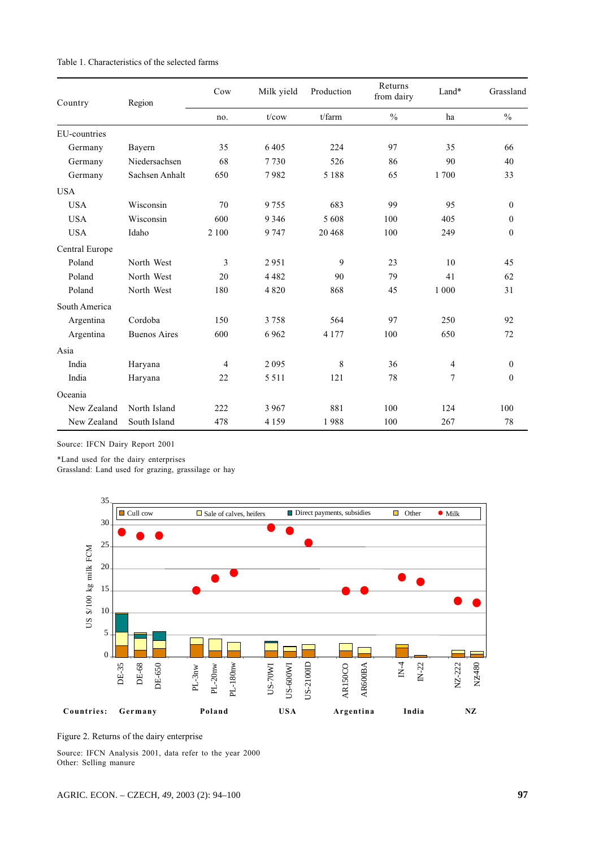#### Table 1. Characteristics of the selected farms

| Country             | Region              | Cow   | Milk yield | Production | Returns<br>from dairy | Land*          | Grassland     |
|---------------------|---------------------|-------|------------|------------|-----------------------|----------------|---------------|
|                     |                     | no.   | t/cow      | t/farm     | $\frac{0}{0}$         | ha             | $\frac{0}{0}$ |
| <b>EU-countries</b> |                     |       |            |            |                       |                |               |
| Germany             | Bayern              | 35    | 6405       | 224        | 97                    | 35             | 66            |
| Germany             | Niedersachsen       | 68    | 7730       | 526        | 86                    | 90             | 40            |
| Germany             | Sachsen Anhalt      | 650   | 7982       | 5 1 8 8    | 65                    | 1700           | 33            |
| <b>USA</b>          |                     |       |            |            |                       |                |               |
| <b>USA</b>          | Wisconsin           | 70    | 9755       | 683        | 99                    | 95             | $\theta$      |
| <b>USA</b>          | Wisconsin           | 600   | 9 3 4 6    | 5608       | 100                   | 405            | $\mathbf{0}$  |
| <b>USA</b>          | Idaho               | 2 100 | 9 7 4 7    | 20468      | 100                   | 249            | $\mathbf{0}$  |
| Central Europe      |                     |       |            |            |                       |                |               |
| Poland              | North West          | 3     | 2951       | 9          | 23                    | 10             | 45            |
| Poland              | North West          | 20    | 4482       | 90         | 79                    | 41             | 62            |
| Poland              | North West          | 180   | 4820       | 868        | 45                    | 1 000          | 31            |
| South America       |                     |       |            |            |                       |                |               |
| Argentina           | Cordoba             | 150   | 3758       | 564        | 97                    | 250            | 92            |
| Argentina           | <b>Buenos Aires</b> | 600   | 6962       | 4 1 7 7    | 100                   | 650            | 72            |
| Asia                |                     |       |            |            |                       |                |               |
| India               | Haryana             | 4     | 2095       | 8          | 36                    | $\overline{4}$ | $\mathbf{0}$  |
| India               | Haryana             | 22    | 5 5 1 1    | 121        | 78                    | 7              | $\mathbf{0}$  |
| Oceania             |                     |       |            |            |                       |                |               |
| New Zealand         | North Island        | 222   | 3 9 6 7    | 881        | 100                   | 124            | 100           |
| New Zealand         | South Island        | 478   | 4 1 5 9    | 1988       | 100                   | 267            | 78            |

Source: IFCN Dairy Report 2001

\*Land used for the dairy enterprises

Grassland: Land used for grazing, grassilage or hay



Figure 2. Returns of the dairy enterprise

Source: IFCN Analysis 2001, data refer to the year 2000 Other: Selling manure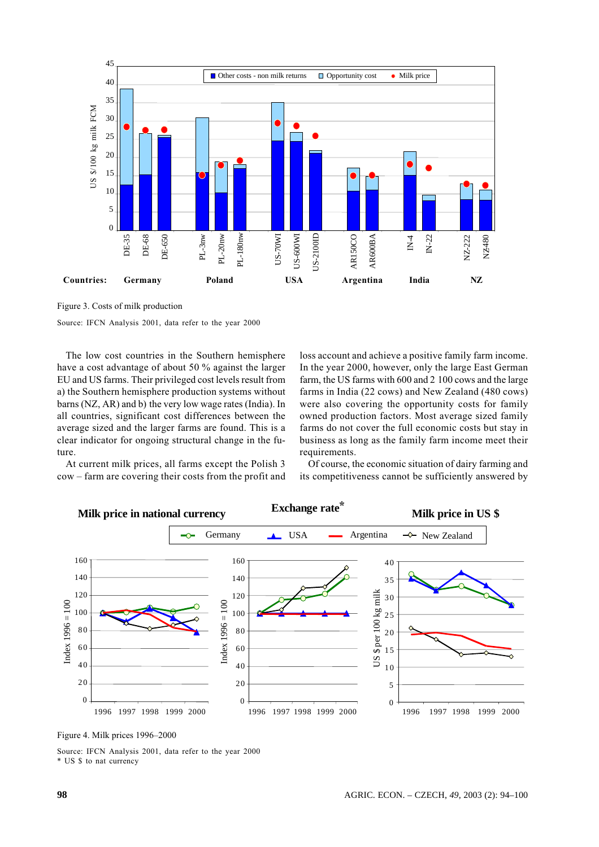

Figure 3. Costs of milk production

Source: IFCN Analysis 2001, data refer to the year 2000

The low cost countries in the Southern hemisphere have a cost advantage of about 50 % against the larger EU and US farms. Their privileged cost levels result from a) the Southern hemisphere production systems without barns (NZ, AR) and b) the very low wage rates (India). In all countries, significant cost differences between the average sized and the larger farms are found. This is a clear indicator for ongoing structural change in the future.

At current milk prices, all farms except the Polish 3 cow – farm are covering their costs from the profit and loss account and achieve a positive family farm income. In the year 2000, however, only the large East German farm, the US farms with 600 and 2 100 cows and the large farms in India (22 cows) and New Zealand (480 cows) were also covering the opportunity costs for family owned production factors. Most average sized family farms do not cover the full economic costs but stay in business as long as the family farm income meet their requirements.

Of course, the economic situation of dairy farming and its competitiveness cannot be sufficiently answered by



Figure 4. Milk prices 1996-2000

Source: IFCN Analysis 2001, data refer to the year 2000 \* US \$ to nat currency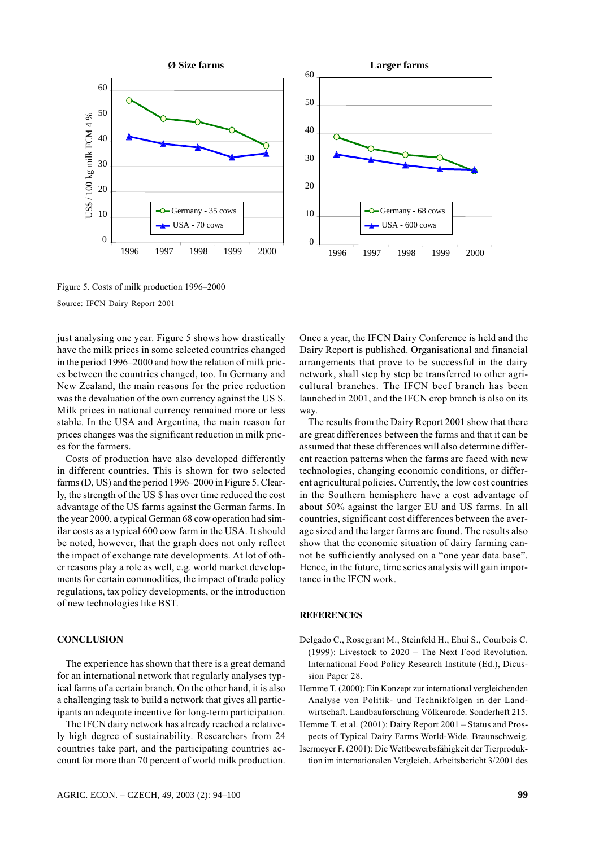

Figure 5. Costs of milk production 1996–2000

Source: IFCN Dairy Report 2001

just analysing one year. Figure 5 shows how drastically have the milk prices in some selected countries changed in the period 1996–2000 and how the relation of milk prices between the countries changed, too. In Germany and New Zealand, the main reasons for the price reduction was the devaluation of the own currency against the US \$. Milk prices in national currency remained more or less stable. In the USA and Argentina, the main reason for prices changes was the significant reduction in milk prices for the farmers.

Costs of production have also developed differently in different countries. This is shown for two selected farms (D, US) and the period 1996–2000 in Figure 5. Clearly, the strength of the US \$ has over time reduced the cost advantage of the US farms against the German farms. In the year 2000, a typical German 68 cow operation had similar costs as a typical 600 cow farm in the USA. It should be noted, however, that the graph does not only reflect the impact of exchange rate developments. At lot of other reasons play a role as well, e.g. world market developments for certain commodities, the impact of trade policy regulations, tax policy developments, or the introduction of new technologies like BST.

#### **CONCLUSION**

The experience has shown that there is a great demand for an international network that regularly analyses typical farms of a certain branch. On the other hand, it is also a challenging task to build a network that gives all participants an adequate incentive for long-term participation.

The IFCN dairy network has already reached a relatively high degree of sustainability. Researchers from 24 countries take part, and the participating countries account for more than 70 percent of world milk production.



Once a year, the IFCN Dairy Conference is held and the Dairy Report is published. Organisational and financial arrangements that prove to be successful in the dairy network, shall step by step be transferred to other agricultural branches. The IFCN beef branch has been launched in 2001, and the IFCN crop branch is also on its way.

The results from the Dairy Report 2001 show that there are great differences between the farms and that it can be assumed that these differences will also determine different reaction patterns when the farms are faced with new technologies, changing economic conditions, or different agricultural policies. Currently, the low cost countries in the Southern hemisphere have a cost advantage of about 50% against the larger EU and US farms. In all countries, significant cost differences between the average sized and the larger farms are found. The results also show that the economic situation of dairy farming cannot be sufficiently analysed on a "one year data base". Hence, in the future, time series analysis will gain importance in the IFCN work.

# **REFERENCES**

- Delgado C., Rosegrant M., Steinfeld H., Ehui S., Courbois C.  $(1999)$ : Livestock to 2020 – The Next Food Revolution. International Food Policy Research Institute (Ed.), Dicussion Paper 28.
- Hemme T. (2000): Ein Konzept zur international vergleichenden Analyse von Politik- und Technikfolgen in der Landwirtschaft. Landbauforschung Völkenrode. Sonderheft 215.

Hemme T. et al. (2001): Dairy Report 2001 - Status and Prospects of Typical Dairy Farms World-Wide. Braunschweig.

Isermeyer F. (2001): Die Wettbewerbsfähigkeit der Tierproduktion im internationalen Vergleich. Arbeitsbericht 3/2001 des